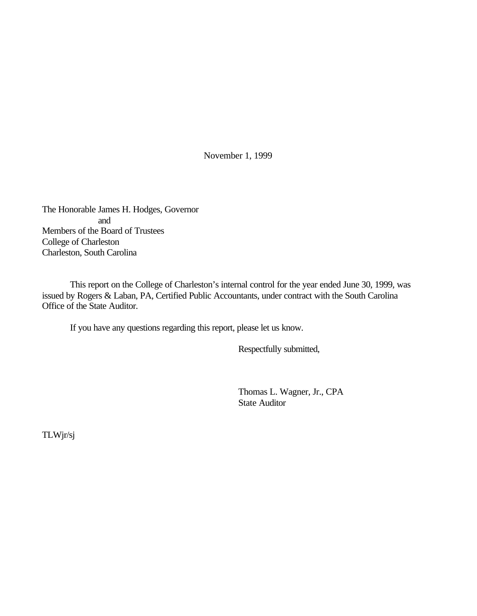November 1, 1999

The Honorable James H. Hodges, Governor and Members of the Board of Trustees College of Charleston Charleston, South Carolina

This report on the College of Charleston's internal control for the year ended June 30, 1999, was issued by Rogers & Laban, PA, Certified Public Accountants, under contract with the South Carolina Office of the State Auditor.

If you have any questions regarding this report, please let us know.

Respectfully submitted,

Thomas L. Wagner, Jr., CPA State Auditor

TLWjr/sj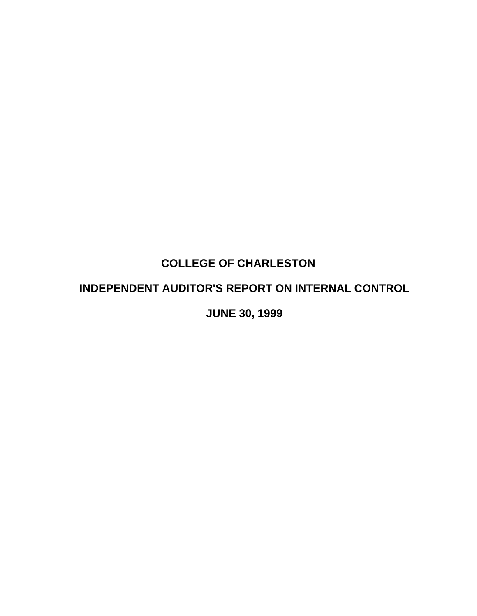# **COLLEGE OF CHARLESTON**

# **INDEPENDENT AUDITOR'S REPORT ON INTERNAL CONTROL**

**JUNE 30, 1999**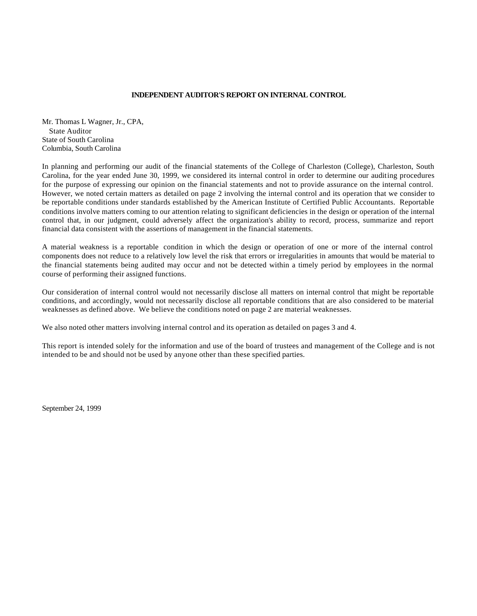#### **INDEPENDENT AUDITOR'S REPORT ON INTERNAL CONTROL**

Mr. Thomas L Wagner, Jr., CPA, State Auditor State of South Carolina Columbia, South Carolina

In planning and performing our audit of the financial statements of the College of Charleston (College), Charleston, South Carolina, for the year ended June 30, 1999, we considered its internal control in order to determine our auditing procedures for the purpose of expressing our opinion on the financial statements and not to provide assurance on the internal control. However, we noted certain matters as detailed on page 2 involving the internal control and its operation that we consider to be reportable conditions under standards established by the American Institute of Certified Public Accountants. Reportable conditions involve matters coming to our attention relating to significant deficiencies in the design or operation of the internal control that, in our judgment, could adversely affect the organization's ability to record, process, summarize and report financial data consistent with the assertions of management in the financial statements.

A material weakness is a reportable condition in which the design or operation of one or more of the internal control components does not reduce to a relatively low level the risk that errors or irregularities in amounts that would be material to the financial statements being audited may occur and not be detected within a timely period by employees in the normal course of performing their assigned functions.

Our consideration of internal control would not necessarily disclose all matters on internal control that might be reportable conditions, and accordingly, would not necessarily disclose all reportable conditions that are also considered to be material weaknesses as defined above. We believe the conditions noted on page 2 are material weaknesses.

We also noted other matters involving internal control and its operation as detailed on pages 3 and 4.

This report is intended solely for the information and use of the board of trustees and management of the College and is not intended to be and should not be used by anyone other than these specified parties.

September 24, 1999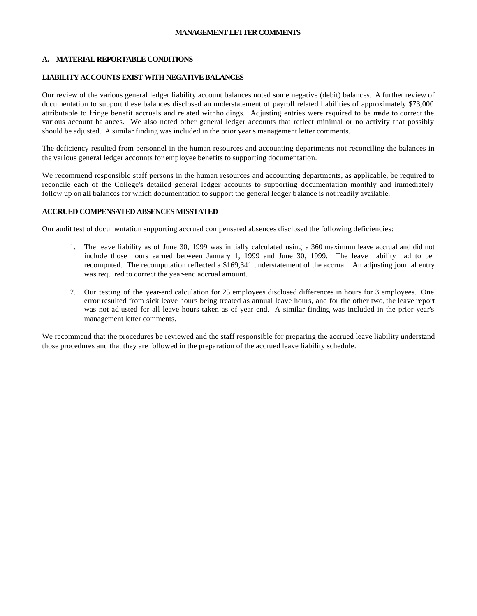#### **MANAGEMENT LETTER COMMENTS**

#### **A. MATERIAL REPORTABLE CONDITIONS**

#### **LIABILITY ACCOUNTS EXIST WITH NEGATIVE BALANCES**

Our review of the various general ledger liability account balances noted some negative (debit) balances. A further review of documentation to support these balances disclosed an understatement of payroll related liabilities of approximately \$73,000 attributable to fringe benefit accruals and related withholdings. Adjusting entries were required to be made to correct the various account balances. We also noted other general ledger accounts that reflect minimal or no activity that possibly should be adjusted. A similar finding was included in the prior year's management letter comments.

The deficiency resulted from personnel in the human resources and accounting departments not reconciling the balances in the various general ledger accounts for employee benefits to supporting documentation.

We recommend responsible staff persons in the human resources and accounting departments, as applicable, be required to reconcile each of the College's detailed general ledger accounts to supporting documentation monthly and immediately follow up on **all** balances for which documentation to support the general ledger balance is not readily available.

#### **ACCRUED COMPENSATED ABSENCES MISSTATED**

Our audit test of documentation supporting accrued compensated absences disclosed the following deficiencies:

- 1. The leave liability as of June 30, 1999 was initially calculated using a 360 maximum leave accrual and did not include those hours earned between January 1, 1999 and June 30, 1999. The leave liability had to be recomputed. The recomputation reflected a \$169,341 understatement of the accrual. An adjusting journal entry was required to correct the year-end accrual amount.
- 2. Our testing of the year-end calculation for 25 employees disclosed differences in hours for 3 employees. One error resulted from sick leave hours being treated as annual leave hours, and for the other two, the leave report was not adjusted for all leave hours taken as of year end. A similar finding was included in the prior year's management letter comments.

We recommend that the procedures be reviewed and the staff responsible for preparing the accrued leave liability understand those procedures and that they are followed in the preparation of the accrued leave liability schedule.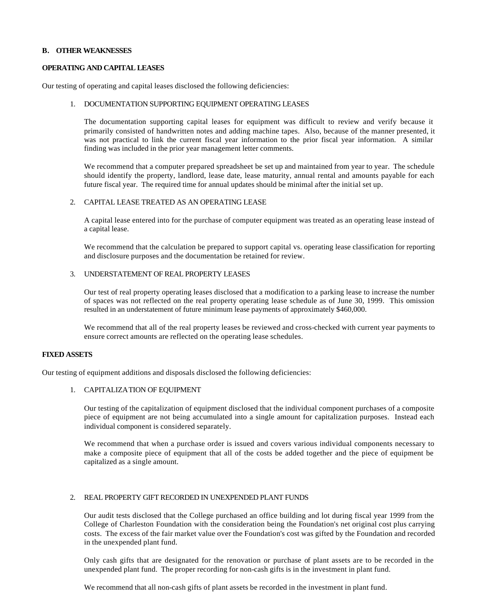#### **B. OTHER WEAKNESSES**

#### **OPERATING AND CAPITAL LEASES**

Our testing of operating and capital leases disclosed the following deficiencies:

#### 1. DOCUMENTATION SUPPORTING EQUIPMENT OPERATING LEASES

The documentation supporting capital leases for equipment was difficult to review and verify because it primarily consisted of handwritten notes and adding machine tapes. Also, because of the manner presented, it was not practical to link the current fiscal year information to the prior fiscal year information. A similar finding was included in the prior year management letter comments.

We recommend that a computer prepared spreadsheet be set up and maintained from year to year. The schedule should identify the property, landlord, lease date, lease maturity, annual rental and amounts payable for each future fiscal year. The required time for annual updates should be minimal after the initial set up.

#### 2. CAPITAL LEASE TREATED AS AN OPERATING LEASE

A capital lease entered into for the purchase of computer equipment was treated as an operating lease instead of a capital lease.

We recommend that the calculation be prepared to support capital vs. operating lease classification for reporting and disclosure purposes and the documentation be retained for review.

#### 3. UNDERSTATEMENT OF REAL PROPERTY LEASES

Our test of real property operating leases disclosed that a modification to a parking lease to increase the number of spaces was not reflected on the real property operating lease schedule as of June 30, 1999. This omission resulted in an understatement of future minimum lease payments of approximately \$460,000.

We recommend that all of the real property leases be reviewed and cross-checked with current year payments to ensure correct amounts are reflected on the operating lease schedules.

#### **FIXED ASSETS**

Our testing of equipment additions and disposals disclosed the following deficiencies:

#### 1. CAPITALIZATION OF EQUIPMENT

Our testing of the capitalization of equipment disclosed that the individual component purchases of a composite piece of equipment are not being accumulated into a single amount for capitalization purposes. Instead each individual component is considered separately.

We recommend that when a purchase order is issued and covers various individual components necessary to make a composite piece of equipment that all of the costs be added together and the piece of equipment be capitalized as a single amount.

#### 2. REAL PROPERTY GIFT RECORDED IN UNEXPENDED PLANT FUNDS

Our audit tests disclosed that the College purchased an office building and lot during fiscal year 1999 from the College of Charleston Foundation with the consideration being the Foundation's net original cost plus carrying costs. The excess of the fair market value over the Foundation's cost was gifted by the Foundation and recorded in the unexpended plant fund.

Only cash gifts that are designated for the renovation or purchase of plant assets are to be recorded in the unexpended plant fund. The proper recording for non-cash gifts is in the investment in plant fund.

We recommend that all non-cash gifts of plant assets be recorded in the investment in plant fund.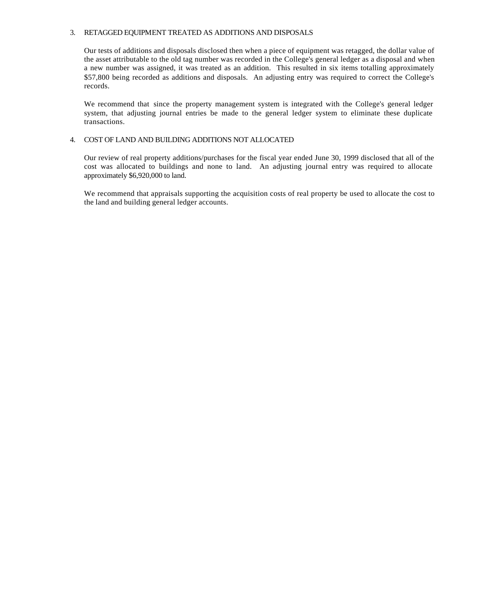#### 3. RETAGGED EQUIPMENT TREATED AS ADDITIONS AND DISPOSALS

Our tests of additions and disposals disclosed then when a piece of equipment was retagged, the dollar value of the asset attributable to the old tag number was recorded in the College's general ledger as a disposal and when a new number was assigned, it was treated as an addition. This resulted in six items totalling approximately \$57,800 being recorded as additions and disposals. An adjusting entry was required to correct the College's records.

We recommend that since the property management system is integrated with the College's general ledger system, that adjusting journal entries be made to the general ledger system to eliminate these duplicate transactions.

#### 4. COST OF LAND AND BUILDING ADDITIONS NOT ALLOCATED

Our review of real property additions/purchases for the fiscal year ended June 30, 1999 disclosed that all of the cost was allocated to buildings and none to land. An adjusting journal entry was required to allocate approximately \$6,920,000 to land.

We recommend that appraisals supporting the acquisition costs of real property be used to allocate the cost to the land and building general ledger accounts.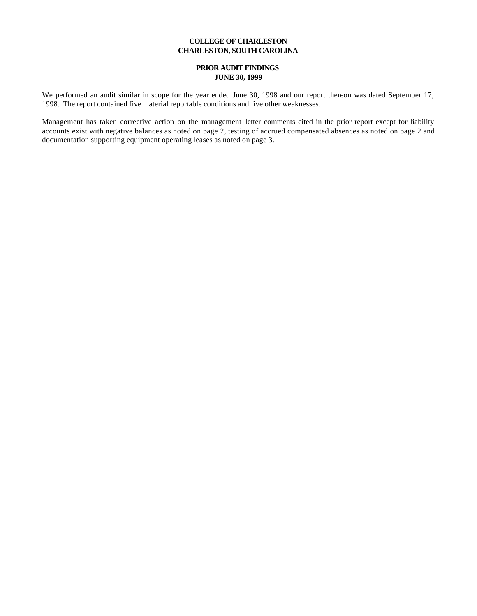#### **COLLEGE OF CHARLESTON CHARLESTON, SOUTH CAROLINA**

#### **PRIOR AUDIT FINDINGS JUNE 30, 1999**

We performed an audit similar in scope for the year ended June 30, 1998 and our report thereon was dated September 17, 1998. The report contained five material reportable conditions and five other weaknesses.

Management has taken corrective action on the management letter comments cited in the prior report except for liability accounts exist with negative balances as noted on page 2, testing of accrued compensated absences as noted on page 2 and documentation supporting equipment operating leases as noted on page 3.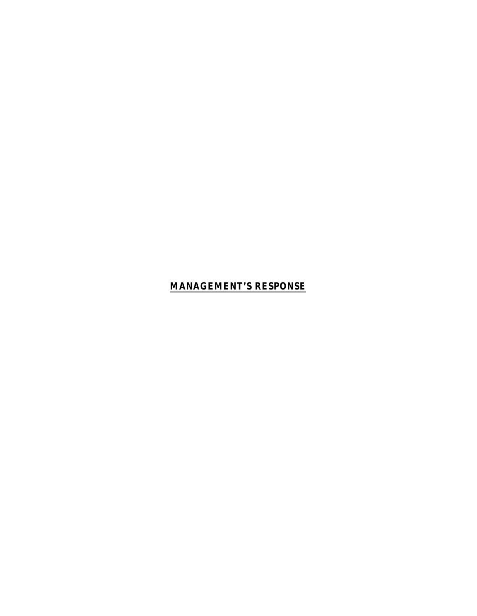# **MANAGEMENT'S RESPONSE**